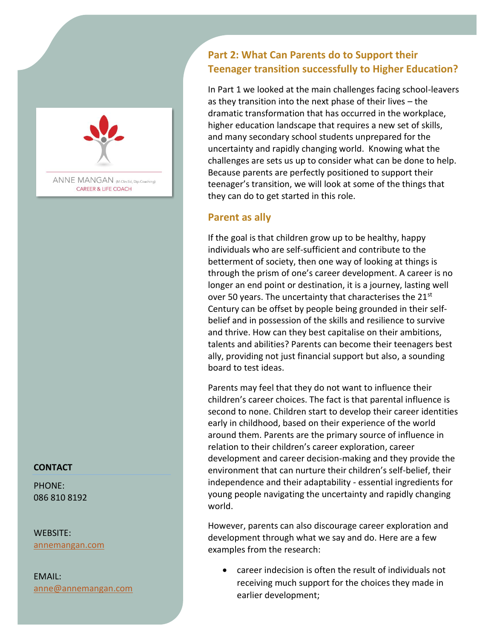

ANNE MANGAN (M.Clin.Ed, Dip.Coaching) **CAREER & LIFE COACH** 

### **CONTACT**

PHONE: 086 810 8192

WEBSITE: [annemangan.com](https://www.annemangan.com/)

EMAIL: anne@annemangan.com

# **Part 2: What Can Parents do to Support their Teenager transition successfully to Higher Education?**

In Part 1 we looked at the main challenges facing school-leavers as they transition into the next phase of their lives – the dramatic transformation that has occurred in the workplace, higher education landscape that requires a new set of skills, and many secondary school students unprepared for the uncertainty and rapidly changing world. Knowing what the challenges are sets us up to consider what can be done to help. Because parents are perfectly positioned to support their teenager's transition, we will look at some of the things that they can do to get started in this role.

## **Parent as ally**

If the goal is that children grow up to be healthy, happy individuals who are self-sufficient and contribute to the betterment of society, then one way of looking at things is through the prism of one's career development. A career is no longer an end point or destination, it is a journey, lasting well over 50 years. The uncertainty that characterises the 21<sup>st</sup> Century can be offset by people being grounded in their selfbelief and in possession of the skills and resilience to survive and thrive. How can they best capitalise on their ambitions, talents and abilities? Parents can become their teenagers best ally, providing not just financial support but also, a sounding board to test ideas.

Parents may feel that they do not want to influence their children's career choices. The fact is that parental influence is second to none. Children start to develop their career identities early in childhood, based on their experience of the world around them. Parents are the primary source of influence in relation to their children's career exploration, career development and career decision-making and they provide the environment that can nurture their children's self-belief, their independence and their adaptability - essential ingredients for young people navigating the uncertainty and rapidly changing world.

However, parents can also discourage career exploration and development through what we say and do. Here are a few examples from the research:

• career indecision is often the result of individuals not receiving much support for the choices they made in earlier development;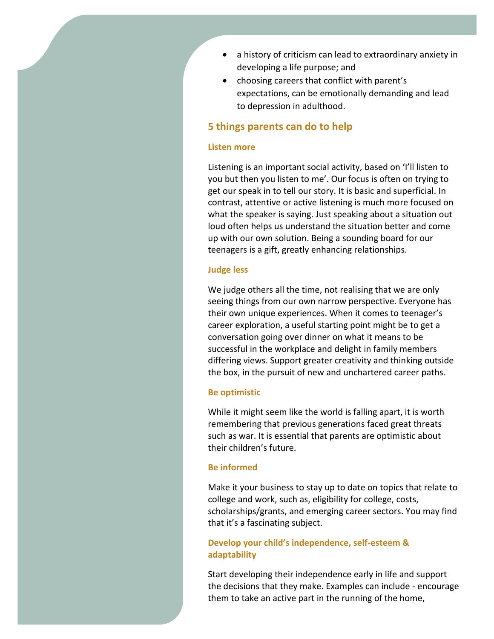- a history of criticism can lead to extraordinary anxiety in developing a life purpose; and
- choosing careers that conflict with parent's expectations, can be emotionally demanding and lead to depression in adulthood.

## **5 things parents can do to help**

#### **Listen more**

Listening is an important social activity, based on 'I'll listen to you but then you listen to me'. Our focus is often on trying to get our speak in to tell our story. It is basic and superficial. In contrast, attentive or active listening is much more focused on what the speaker is saying. Just speaking about a situation out loud often helps us understand the situation better and come up with our own solution. Being a sounding board for our teenagers is a gift, greatly enhancing relationships.

#### **Judge less**

We judge others all the time, not realising that we are only seeing things from our own narrow perspective. Everyone has their own unique experiences. When it comes to teenager's career exploration, a useful starting point might be to get a conversation going over dinner on what it means to be successful in the workplace and delight in family members differing views. Support greater creativity and thinking outside the box, in the pursuit of new and unchartered career paths.

#### **Be optimistic**

While it might seem like the world is falling apart, it is worth remembering that previous generations faced great threats such as war. It is essential that parents are optimistic about their children's future.

#### **Be informed**

Make it your business to stay up to date on topics that relate to college and work, such as, eligibility for college, costs, scholarships/grants, and emerging career sectors. You may find that it's a fascinating subject.

## **Develop your child's independence, self-esteem & adaptability**

Start developing their independence early in life and support the decisions that they make. Examples can include - encourage them to take an active part in the running of the home,